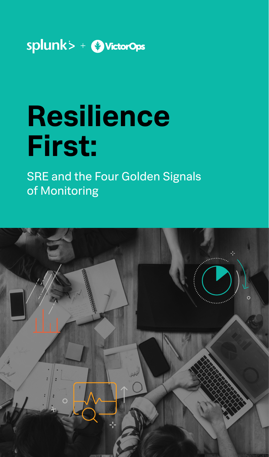

# **Resilience First:**

SRE and the Four Golden Signals of Monitoring

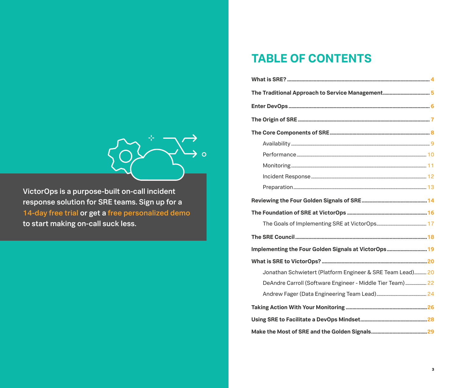## **TABLE OF CONTENTS**

| The Traditional Approach to Service Management5            |
|------------------------------------------------------------|
|                                                            |
|                                                            |
|                                                            |
|                                                            |
|                                                            |
|                                                            |
|                                                            |
|                                                            |
|                                                            |
|                                                            |
|                                                            |
|                                                            |
| Implementing the Four Golden Signals at VictorOps19        |
|                                                            |
| Jonathan Schwietert (Platform Engineer & SRE Team Lead) 20 |
| DeAndre Carroll (Software Engineer - Middle Tier Team)  22 |
|                                                            |
|                                                            |
|                                                            |
|                                                            |



VictorOps is a purpose-built on-call incident response solution for SRE teams. Sign up for a [14-day free trial](https://portal.victorops.com/membership/#/onboarding/create-org/?utm_medium=content&utm_source=content&utm_campaign=content-con-global-us-en-2020-q3-sre4goldensignals-ebk&utm_content=ebookpdf) or get a [free personalized demo](https://victorops.com/request-demo/?utm_medium=content&utm_source=content&utm_campaign=content-con-global-us-en-2020-q3-sre4goldensignals-ebk&utm_content=ebookpdf) to start making on-call suck less.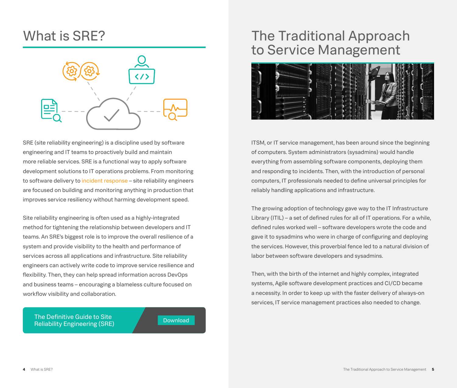

SRE (site reliability engineering) is a discipline used by software engineering and IT teams to proactively build and maintain more reliable services. SRE is a functional way to apply software development solutions to IT operations problems. From monitoring to software delivery to [incident response](https://victorops.com/incident-response/?utm_medium=content&utm_source=content&utm_campaign=content-con-global-us-en-2020-q3-sre4goldensignals-ebk&utm_content=ebookpdf) – site reliability engineers are focused on building and monitoring anything in production that improves service resiliency without harming development speed.

Site reliability engineering is often used as a highly-integrated method for tightening the relationship between developers and IT teams. An SRE's biggest role is to improve the overall resilience of a system and provide visibility to the health and performance of services across all applications and infrastructure. Site reliability engineers can actively write code to improve service resilience and flexibility. Then, they can help spread information across DevOps and business teams – encouraging a blameless culture focused on workflow visibility and collaboration.

[The Definitive Guide to Site](https://victorops.com/site-reliability-engineering/sre-guide-toc/?utm_medium=content&utm_source=content&utm_campaign=content-con-global-us-en-2020-q3-sre4goldensignals-ebk&utm_content=ebookpdf) [Reliability Engineering \(SRE\)](https://victorops.com/site-reliability-engineering/sre-guide-toc/?utm_medium=content&utm_source=content&utm_campaign=content-con-global-us-en-2020-q3-sre4goldensignals-ebk&utm_content=ebookpdf) [Download](https://victorops.com/site-reliability-engineering/sre-guide-toc/?utm_medium=content&utm_source=content&utm_campaign=content-con-global-us-en-2020-q3-sre4goldensignals-ebk&utm_content=ebookpdf)

## <span id="page-2-0"></span>What is SRE? The Traditional Approach to Service Management



ITSM, or IT service management, has been around since the beginning of computers. System administrators (sysadmins) would handle everything from assembling software components, deploying them and responding to incidents. Then, with the introduction of personal computers, IT professionals needed to define universal principles for reliably handling applications and infrastructure.

The growing adoption of technology gave way to the IT Infrastructure Library (ITIL) – a set of defined rules for all of IT operations. For a while, defined rules worked well – software developers wrote the code and gave it to sysadmins who were in charge of configuring and deploying the services. However, this proverbial fence led to a natural division of labor between software developers and sysadmins.

Then, with the birth of the internet and highly complex, integrated systems, Agile software development practices and CI/CD became a necessity. In order to keep up with the faster delivery of always-on services, IT service management practices also needed to change.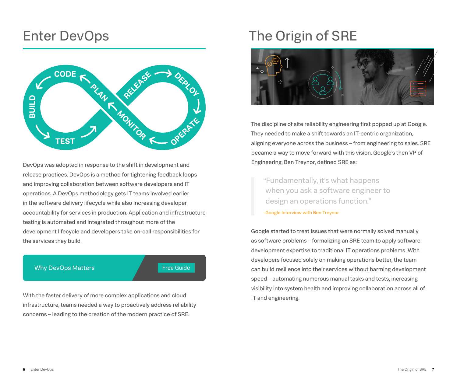## <span id="page-3-0"></span>Enter DevOps



DevOps was adopted in response to the shift in development and release practices. DevOps is a method for tightening feedback loops and improving collaboration between software developers and IT operations. A DevOps methodology gets IT teams involved earlier in the software delivery lifecycle while also increasing developer accountability for services in production. Application and infrastructure testing is automated and integrated throughout more of the development lifecycle and developers take on-call responsibilities for the services they build.

#### Why DevOps Matters [Free Guide](https://victorops.com/devops/why-devops-matters/?utm_medium=content&utm_source=content&utm_campaign=content-con-global-us-en-2020-q3-sre4goldensignals-ebk&utm_content=ebookpdf)

With the faster delivery of more complex applications and cloud infrastructure, teams needed a way to proactively address reliability concerns – leading to the creation of the modern practice of SRE.

## The Origin of SRE



The discipline of site reliability engineering first popped up at Google. They needed to make a shift towards an IT-centric organization, aligning everyone across the business – from engineering to sales. SRE became a way to move forward with this vision. Google's then VP of Engineering, Ben Treynor, defined SRE as:

"Fundamentally, it's what happens when you ask a software engineer to design an operations function."

-[Google Interview](https://landing.google.com/sre/interview/ben-treynor/?utm_medium=content&utm_source=content&utm_campaign=content-con-global-us-en-2020-q3-sre4goldensignals-ebk&utm_content=ebookpdf) with Ben Treynor

Google started to treat issues that were normally solved manually as software problems – formalizing an SRE team to apply software development expertise to traditional IT operations problems. With developers focused solely on making operations better, the team can build resilience into their services without harming development speed – automating numerous manual tasks and tests, increasing visibility into system health and improving collaboration across all of IT and engineering.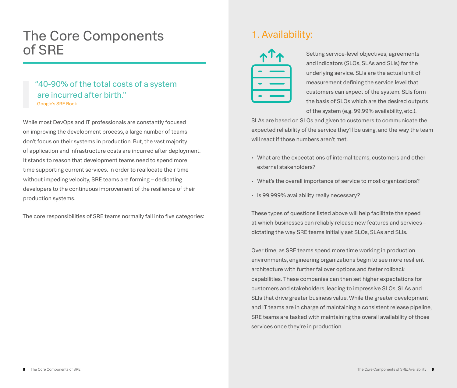## <span id="page-4-0"></span>The Core Components of SRE

### "40-90% of the total costs of a system are incurred after birth" [-Google's SRE Book](https://landing.google.com/sre/sre-book/chapters/preface/?utm_medium=content&utm_source=content&utm_campaign=content-con-global-us-en-2020-q3-sre4goldensignals-ebk&utm_content=ebookpdf)

While most DevOps and IT professionals are constantly focused on improving the development process, a large number of teams don't focus on their systems in production. But, the vast majority of application and infrastructure costs are incurred after deployment. It stands to reason that development teams need to spend more time supporting current services. In order to reallocate their time without impeding velocity, SRE teams are forming – dedicating developers to the continuous improvement of the resilience of their production systems.

The core responsibilities of SRE teams normally fall into five categories:

### 1. Availability:



Setting service-level objectives, agreements and indicators (SLOs, SLAs and SLIs) for the underlying service. SLIs are the actual unit of measurement defining the service level that customers can expect of the system. SLIs form the basis of SLOs which are the desired outputs of the system (e.g. 99.99% availability, etc.).

SLAs are based on SLOs and given to customers to communicate the expected reliability of the service they'll be using, and the way the team will react if those numbers aren't met.

- What are the expectations of internal teams, customers and other external stakeholders?
- What's the overall importance of service to most organizations?
- Is 99.999% availability really necessary?

These types of questions listed above will help facilitate the speed at which businesses can reliably release new features and services – dictating the way SRE teams initially set SLOs, SLAs and SLIs.

Over time, as SRE teams spend more time working in production environments, engineering organizations begin to see more resilient architecture with further failover options and faster rollback capabilities. These companies can then set higher expectations for customers and stakeholders, leading to impressive SLOs, SLAs and SLIs that drive greater business value. While the greater development and IT teams are in charge of maintaining a consistent release pipeline, SRE teams are tasked with maintaining the overall availability of those services once they're in production.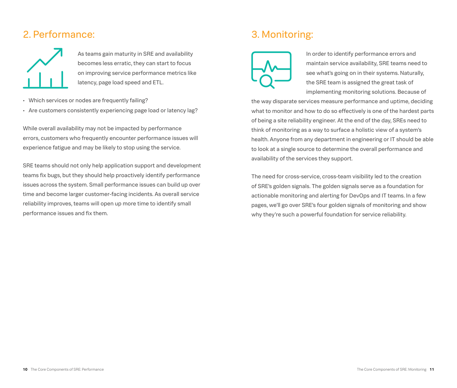### <span id="page-5-0"></span>2. Performance:



As teams gain maturity in SRE and availability becomes less erratic, they can start to focus on improving service performance metrics like latency, page load speed and ETL.

- Which services or nodes are frequently failing?
- Are customers consistently experiencing page load or latency lag?

While overall availability may not be impacted by performance errors, customers who frequently encounter performance issues will experience fatigue and may be likely to stop using the service.

SRE teams should not only help application support and development teams fix bugs, but they should help proactively identify performance issues across the system. Small performance issues can build up over time and become larger customer-facing incidents. As overall service reliability improves, teams will open up more time to identify small performance issues and fix them.

## 3. Monitoring:



In order to identify performance errors and maintain service availability, SRE teams need to see what's going on in their systems. Naturally, the SRE team is assigned the great task of implementing monitoring solutions. Because of

the way disparate services measure performance and uptime, deciding what to monitor and how to do so effectively is one of the hardest parts of being a site reliability engineer. At the end of the day, SREs need to think of monitoring as a way to surface a holistic view of a system's health. Anyone from any department in engineering or IT should be able to look at a single source to determine the overall performance and availability of the services they support.

The need for cross-service, cross-team visibility led to the creation of SRE's golden signals. The golden signals serve as a foundation for actionable monitoring and alerting for DevOps and IT teams. In a few pages, we'll go over SRE's four golden signals of monitoring and show why they're such a powerful foundation for service reliability.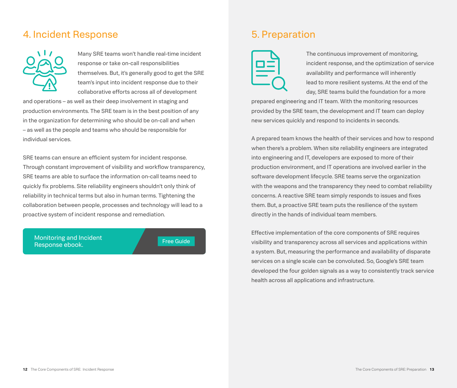### <span id="page-6-0"></span>4. Incident Response



Many SRE teams won't handle real-time incident response or take on-call responsibilities themselves. But, it's generally good to get the SRE team's input into incident response due to their collaborative efforts across all of development

and operations – as well as their deep involvement in staging and production environments. The SRE team is in the best position of any in the organization for determining who should be on-call and when – as well as the people and teams who should be responsible for individual services.

SRE teams can ensure an efficient system for incident response. Through constant improvement of visibility and workflow transparency, SRE teams are able to surface the information on-call teams need to quickly fix problems. Site reliability engineers shouldn't only think of reliability in technical terms but also in human terms. Tightening the collaboration between people, processes and technology will lead to a proactive system of incident response and remediation.

Monitoring and Incident Response ebook. The same state of the second second second second second second second second second second second second second second second second second second second second second second second second second second se

### 5. Preparation



The continuous improvement of monitoring, incident response, and the optimization of service availability and performance will inherently lead to more resilient systems. At the end of the day, SRE teams build the foundation for a more

prepared engineering and IT team. With the monitoring resources provided by the SRE team, the development and IT team can deploy new services quickly and respond to incidents in seconds.

A prepared team knows the health of their services and how to respond when there's a problem. When site reliability engineers are integrated into engineering and IT, developers are exposed to more of their production environment, and IT operations are involved earlier in the software development lifecycle. SRE teams serve the organization with the weapons and the transparency they need to combat reliability concerns. A reactive SRE team simply responds to issues and fixes them. But, a proactive SRE team puts the resilience of the system directly in the hands of individual team members.

Effective implementation of the core components of SRE requires visibility and transparency across all services and applications within a system. But, measuring the performance and availability of disparate services on a single scale can be convoluted. So, Google's SRE team developed the four golden signals as a way to consistently track service health across all applications and infrastructure.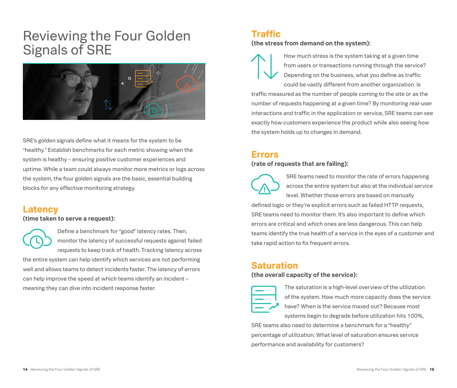## <span id="page-7-0"></span>Reviewing the Four Golden Signals of SRE



SRE's golden signals define what it means for the system to be "healthy." Establish benchmarks for each metric showing when the system is healthy – ensuring positive customer experiences and uptime. While a team could always monitor more metrics or logs across the system, the four golden signals are the basic, essential building blocks for any effective monitoring strategy.

### **Latency**

**(time taken to serve a request):**

Define a benchmark for "good" latency rates. Then, monitor the latency of successful requests against failed requests to keep track of health. Tracking latency across the entire system can help identify which services are not performing well and allows teams to detect incidents faster. The latency of errors can help improve the speed at which teams identify an incident – meaning they can dive into incident response faster.

### **Traffic**

**(the stress from demand on the system):**



How much stress is the system taking at a given time from users or transactions running through the service? Depending on the business, what you define as traffic could be vastly different from another organization. Is

traffic measured as the number of people coming to the site or as the number of requests happening at a given time? By monitoring real-user interactions and traffic in the application or service, SRE teams can see exactly how customers experience the product while also seeing how the system holds up to changes in demand.

### **Errors**

#### **(rate of requests that are failing):**



SRE teams need to monitor the rate of errors happening across the entire system but also at the individual service level. Whether those errors are based on manually defined logic or they're explicit errors such as failed HTTP requests,

SRE teams need to monitor them. It's also important to define which errors are critical and which ones are less dangerous. This can help teams identify the true health of a service in the eyes of a customer and take rapid action to fix frequent errors.

### **Saturation**

#### **(the overall capacity of the service):**



The saturation is a high-level overview of the utilization of the system. How much more capacity does the service have? When is the service maxed out? Because most systems begin to degrade before utilization hits 100%,

SRE teams also need to determine a benchmark for a "healthy" percentage of utilization. What level of saturation ensures service performance and availability for customers?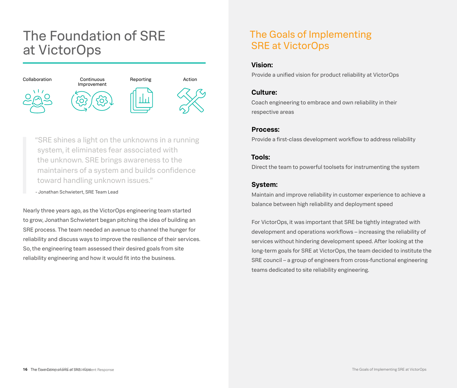## <span id="page-8-0"></span>The Foundation of SRE at VictorOps



"SRE shines a light on the unknowns in a running system, it eliminates fear associated with the unknown. SRE brings awareness to the maintainers of a system and builds confidence toward handling unknown issues."

- Jonathan Schwietert, SRE Team Lead

Nearly three years ago, as the VictorOps engineering team started to grow, Jonathan Schwietert began pitching the idea of building an SRE process. The team needed an avenue to channel the hunger for reliability and discuss ways to improve the resilience of their services. So, the engineering team assessed their desired goals from site reliability engineering and how it would fit into the business.

### The Goals of Implementing SRE at VictorOps

#### **Vision:**

Provide a unified vision for product reliability at VictorOps

#### **Culture:**

Coach engineering to embrace and own reliability in their respective areas

#### **Process:**

Provide a first-class development workflow to address reliability

#### **Tools:**

Direct the team to powerful toolsets for instrumenting the system

#### **System:**

Maintain and improve reliability in customer experience to achieve a balance between high reliability and deployment speed

For VictorOps, it was important that SRE be tightly integrated with development and operations workflows – increasing the reliability of services without hindering development speed. After looking at the long-term goals for SRE at VictorOps, the team decided to institute the SRE council – a group of engineers from cross-functional engineering teams dedicated to site reliability engineering.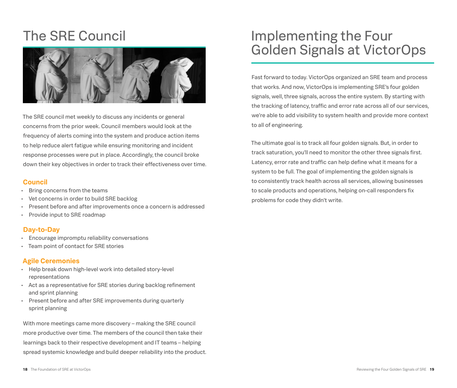## <span id="page-9-0"></span>The SRE Council



The SRE council met weekly to discuss any incidents or general concerns from the prior week. Council members would look at the frequency of alerts coming into the system and produce action items to help reduce alert fatigue while ensuring monitoring and incident response processes were put in place. Accordingly, the council broke down their key objectives in order to track their effectiveness over time.

#### **Council**

- Bring concerns from the teams
- Vet concerns in order to build SRE backlog
- Present before and after improvements once a concern is addressed
- Provide input to SRE roadmap

#### **Day-to-Day**

- Encourage impromptu reliability conversations
- Team point of contact for SRE stories

#### **Agile Ceremonies**

- Help break down high-level work into detailed story-level representations
- Act as a representative for SRE stories during backlog refinement and sprint planning
- Present before and after SRE improvements during quarterly sprint planning

With more meetings came more discovery – making the SRE council more productive over time. The members of the council then take their learnings back to their respective development and IT teams – helping spread systemic knowledge and build deeper reliability into the product.

## Implementing the Four Golden Signals at VictorOps

Fast forward to today. VictorOps organized an SRE team and process that works. And now, VictorOps is implementing SRE's four golden signals, well, three signals, across the entire system. By starting with the tracking of latency, traffic and error rate across all of our services, we're able to add visibility to system health and provide more context to all of engineering.

The ultimate goal is to track all four golden signals. But, in order to track saturation, you'll need to monitor the other three signals first. Latency, error rate and traffic can help define what it means for a system to be full. The goal of implementing the golden signals is to consistently track health across all services, allowing businesses to scale products and operations, helping on-call responders fix problems for code they didn't write.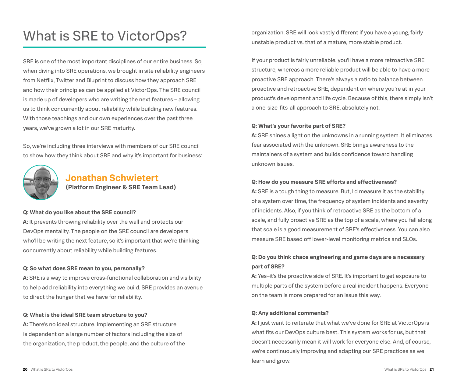## <span id="page-10-0"></span>What is SRE to VictorOps?

SRE is one of the most important disciplines of our entire business. So, when diving into SRE operations, we brought in site reliability engineers from Netflix, Twitter and Bluprint to discuss how they approach SRE and how their principles can be applied at VictorOps. The SRE council is made up of developers who are writing the next features – allowing us to think concurrently about reliability while building new features. With those teachings and our own experiences over the past three years, we've grown a lot in our SRE maturity.

So, we're including three interviews with members of our SRE council to show how they think about SRE and why it's important for business:



### **Jonathan Schwietert (Platform Engineer & SRE Team Lead)**

#### **Q: What do you like about the SRE council?**

**A:** It prevents throwing reliability over the wall and protects our [DevOps](https://victorops.com/blog/devops/) mentality. The people on the SRE council are developers who'll be writing the next feature, so it's important that we're thinking concurrently about reliability while building features.

#### **Q: So what does SRE mean to you, personally?**

**A:** SRE is a way to improve cross-functional collaboration and visibility to help add reliability into everything we build. SRE provides an avenue to direct the hunger that we have for reliability.

#### **Q: What is the ideal SRE team structure to you?**

**A:** There's no ideal structure. Implementing an SRE structure is dependent on a large number of factors including the size of the organization, the product, the people, and the culture of the organization. SRE will look vastly different if you have a young, fairly unstable product vs. that of a mature, more stable product.

If your product is fairly unreliable, you'll have a more retroactive SRE structure, whereas a more reliable product will be able to have a more [proactive SRE](https://victorops.com/blog/breaking-your-system-for-proactive-site-reliability-engineering-sre) approach. There's always a ratio to balance between proactive and retroactive SRE, dependent on where you're at in your product's development and life cycle. Because of this, there simply isn't a one-size-fits-all approach to SRE, absolutely not.

#### **Q: What's your favorite part of SRE?**

**A:** SRE shines a light on the unknowns in a running system. It eliminates fear associated with the unknown. SRE brings awareness to the maintainers of a system and builds confidence toward handling unknown issues.

#### **Q: How do you measure SRE efforts and effectiveness?**

**A:** SRE is a tough thing to measure. But, I'd measure it as the stability of a system over time, the frequency of system incidents and severity of incidents. Also, if you think of retroactive SRE as the bottom of a scale, and fully proactive SRE as the top of a scale, where you fall along that scale is a good measurement of SRE's effectiveness. You can also measure SRE based off lower-level monitoring metrics and [SLOs](https://en.wikipedia.org/wiki/Service-level_objective).

#### **Q: Do you think chaos engineering and game days are a necessary part of SRE?**

**A:** Yes–it's the proactive side of SRE. It's important to get exposure to multiple parts of the system before a real incident happens. Everyone on the team is more prepared for an issue this way.

#### **Q: Any additional comments?**

**A:** I just want to reiterate that what we've done for SRE at VictorOps is what fits our DevOps culture best. This system works for us, but that doesn't necessarily mean it will work for everyone else. And, of course, we're [continuously improving](https://victorops.com/blog/continuous-improvement-incident-management) and adapting our SRE practices as we learn and grow.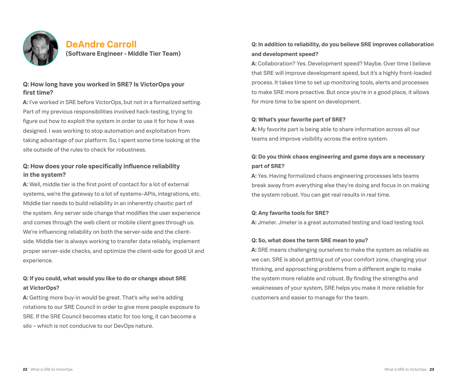<span id="page-11-0"></span>

### **DeAndre Carroll (Software Engineer - Middle Tier Team)**

#### **Q: How long have you worked in SRE? Is VictorOps your first time?**

**A:** I've worked in SRE before VictorOps, but not in a formalized setting. Part of my previous responsibilities involved hack-testing, trying to figure out how to exploit the system in order to use it for how it was designed. I was working to stop automation and exploitation from taking advantage of our platform. So, I spent some time looking at the site outside of the rules to check for robustness.

#### **Q: How does your role specifically influence reliability in the system?**

**A:** Well, middle tier is the first point of contact for a lot of external systems, we're the gateway to a lot of systems–APIs, integrations, etc. Middle tier needs to build reliability in an inherently chaotic part of the system. Any server side change that modifies the user experience and comes through the web client or mobile client goes through us. We're influencing reliability on both the server-side and the clientside. Middle tier is always working to transfer data reliably, implement proper server-side checks, and optimize the client-side for good UI and experience.

#### **Q: If you could, what would you like to do or change about SRE at VictorOps?**

**A:** Getting more buy-in would be great. That's why we're adding rotations to our SRE Council in order to give more people exposure to SRE. If the SRE Council becomes static for too long, it can become a silo – which is not conducive to our DevOps nature.

#### **Q: In addition to reliability, do you believe SRE improves collaboration and development speed?**

**A:** Collaboration? Yes. Development speed? Maybe. Over time I believe that SRE will improve development speed, but it's a highly front-loaded process. It takes time to set up monitoring tools, alerts and processes to make SRE more proactive. But once you're in a good place, it allows for more time to be spent on development.

#### **Q: What's your favorite part of SRE?**

**A:** My favorite part is being able to share information across all our teams and improve visibility across the entire system.

#### **Q: Do you think chaos engineering and game days are a necessary part of SRE?**

**A:** Yes. Having formalized chaos engineering processes lets teams break away from everything else they're doing and focus in on making the system robust. You can get real results in real time.

#### **Q: Any favorite tools for SRE?**

**A:** Jmeter. Jmeter is a great automated testing and load testing tool.

#### **Q: So, what does the term SRE mean to you?**

**A:** SRE means challenging ourselves to make the system as reliable as we can. SRE is about getting out of your comfort zone, changing your thinking, and approaching problems from a different angle to make the system more reliable and robust. By finding the strengths and weaknesses of your system, SRE helps you make it more reliable for customers and easier to manage for the team.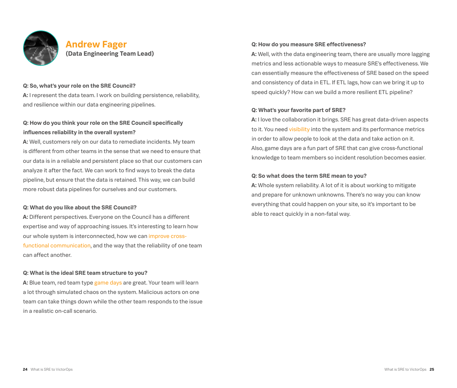<span id="page-12-0"></span>

### **Andrew Fager (Data Engineering Team Lead)**

#### **Q: So, what's your role on the SRE Council?**

**A:** I represent the data team. I work on building persistence, reliability, and resilience within our data engineering pipelines.

#### **Q: How do you think your role on the SRE Council specifically influences reliability in the overall system?**

**A:** Well, customers rely on our data to remediate incidents. My team is different from other teams in the sense that we need to ensure that our data is in a reliable and persistent place so that our customers can analyze it after the fact. We can work to find ways to break the data pipeline, but ensure that the data is retained. This way, we can build more robust data pipelines for ourselves and our customers.

#### **Q: What do you like about the SRE Council?**

**A:** Different perspectives. Everyone on the Council has a different expertise and way of approaching issues. It's interesting to learn how our whole system is interconnected, how we can [improve cross](https://victorops.com/blog/devops-outage-collaboration/?utm_medium=content&utm_source=content&utm_campaign=content-con-global-us-en-2020-q3-sre4goldensignals-ebk&utm_content=ebookpdf)[functional communication,](https://victorops.com/blog/devops-outage-collaboration/?utm_medium=content&utm_source=content&utm_campaign=content-con-global-us-en-2020-q3-sre4goldensignals-ebk&utm_content=ebookpdf) and the way that the reliability of one team can affect another.

#### **Q: What is the ideal SRE team structure to you?**

**A:** Blue team, red team type [game days](https://victorops.com/blog/focus-on-readiness-its-a-good-day-for-a-game-day/?utm_medium=content&utm_source=content&utm_campaign=content-con-global-us-en-2020-q3-sre4goldensignals-ebk&utm_content=ebookpdf) are great. Your team will learn a lot through simulated chaos on the system. Malicious actors on one team can take things down while the other team responds to the issue in a realistic on-call scenario.

#### **Q: How do you measure SRE effectiveness?**

**A:** Well, with the data engineering team, there are usually more lagging metrics and less actionable ways to measure SRE's effectiveness. We can essentially measure the effectiveness of SRE based on the speed and consistency of data in ETL. If ETL lags, how can we bring it up to speed quickly? How can we build a more resilient ETL pipeline?

#### **Q: What's your favorite part of SRE?**

**A:** I love the collaboration it brings. SRE has great data-driven aspects to it. You need [visibility](https://victorops.com/blog/aggregate-monitoring-for-full-system-visibility/?utm_medium=content&utm_source=content&utm_campaign=content-con-global-us-en-2020-q3-sre4goldensignals-ebk&utm_content=ebookpdf) into the system and its performance metrics in order to allow people to look at the data and take action on it. Also, game days are a fun part of SRE that can give cross-functional knowledge to team members so incident resolution becomes easier.

#### **Q: So what does the term SRE mean to you?**

**A:** Whole system reliability. A lot of it is about working to mitigate and prepare for unknown unknowns. There's no way you can know everything that could happen on your site, so it's important to be able to react quickly in a non-fatal way.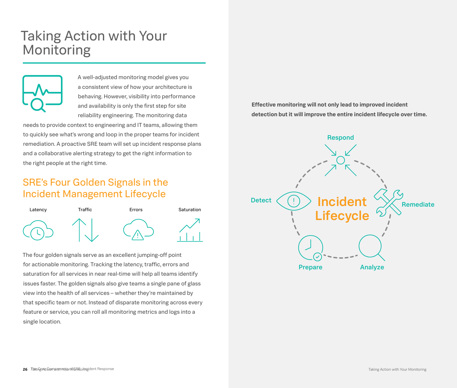## <span id="page-13-0"></span>Taking Action with Your Monitoring



A well-adjusted monitoring model gives you a consistent view of how your architecture is behaving. However, visibility into performance and availability is only the first step for site reliability engineering. The monitoring data

needs to provide context to engineering and IT teams, allowing them to quickly see what's wrong and loop in the proper teams for incident remediation. A proactive SRE team will set up incident response plans and a collaborative alerting strategy to get the right information to the right people at the right time.

### SRE's Four Golden Signals in the Incident Management Lifecycle



The four golden signals serve as an excellent jumping-off point for actionable monitoring. Tracking the latency, traffic, errors and saturation for all services in near real-time will help all teams identify issues faster. The golden signals also give teams a single pane of glass view into the health of all services – whether they're maintained by that specific team or not. Instead of disparate monitoring across every feature or service, you can roll all monitoring metrics and logs into a single location.

**Effective monitoring will not only lead to improved incident detection but it will improve the entire incident lifecycle over time.**

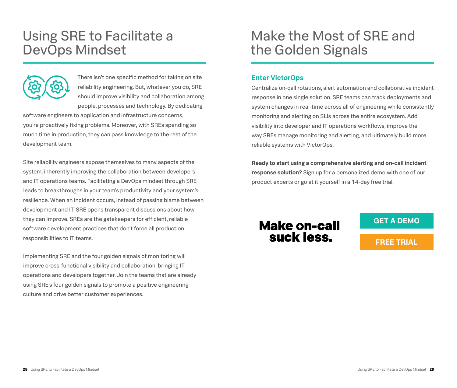## <span id="page-14-0"></span>Using SRE to Facilitate a DevOps Mindset



There isn't one specific method for taking on site reliability engineering. But, whatever you do, SRE should improve visibility and collaboration among people, processes and technology. By dedicating

software engineers to application and infrastructure concerns, you're proactively fixing problems. Moreover, with SREs spending so much time in production, they can pass knowledge to the rest of the development team.

Site reliability engineers expose themselves to many aspects of the system, inherently improving the collaboration between developers and IT operations teams. Facilitating a DevOps mindset through SRE leads to breakthroughs in your team's productivity and your system's resilience. When an incident occurs, instead of passing blame between development and IT, SRE opens transparent discussions about how they can improve. SREs are the gatekeepers for efficient, reliable software development practices that don't force all production responsibilities to IT teams.

Implementing SRE and the four golden signals of monitoring will improve cross-functional visibility and collaboration, bringing IT operations and developers together. Join the teams that are already using SRE's four golden signals to promote a positive engineering culture and drive better customer experiences.

## Make the Most of SRE and the Golden Signals

#### **Enter VictorOps**

Centralize on-call rotations, alert automation and collaborative incident response in one single solution. SRE teams can track deployments and system changes in real-time across all of engineering while consistently monitoring and alerting on SLIs across the entire ecosystem. Add visibility into developer and IT operations workflows, improve the way SREs manage monitoring and alerting, and ultimately build more reliable systems with VictorOps.

**Ready to start using a comprehensive alerting and on-call incident response solution?** Sign up for a personalized demo with one of our product experts or go at it yourself in a 14-day free trial.

## **Make on-call** suck less.

**[GET A DEMO](https://victorops.com/request-demo/?utm_medium=content&utm_source=content&utm_campaign=content-con-global-us-en-2020-q3-sre4goldensignals-ebk&utm_content=ebookpdf)**

**[FREE TRIAL](https://portal.victorops.com/membership/#/onboarding/create-org/?utm_medium=content&utm_source=content&utm_campaign=content-con-global-us-en-2020-q3-sre4goldensignals-ebk&utm_content=ebookpdf)**